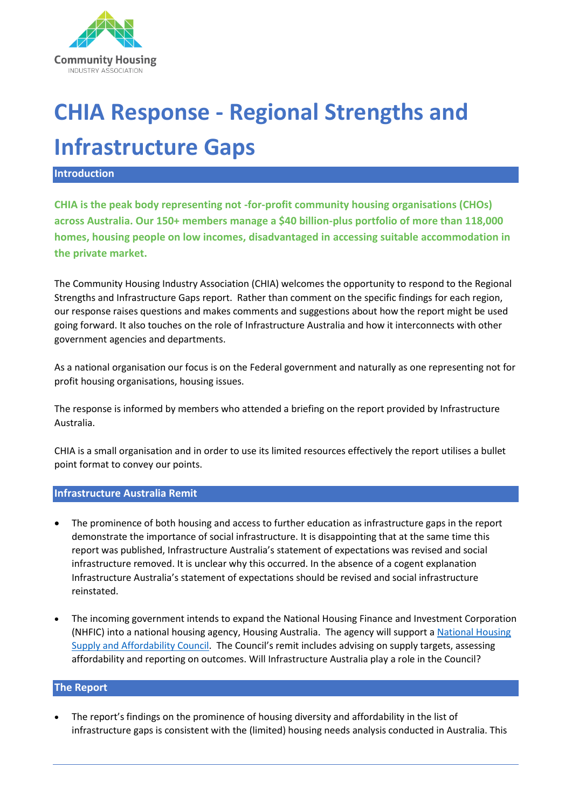

# **CHIA Response - Regional Strengths and Infrastructure Gaps**

#### **Introduction**

**CHIA is the peak body representing not -for-profit community housing organisations (CHOs) across Australia. Our 150+ members manage a \$40 billion-plus portfolio of more than 118,000 homes, housing people on low incomes, disadvantaged in accessing suitable accommodation in the private market.** 

The Community Housing Industry Association (CHIA) welcomes the opportunity to respond to the Regional Strengths and Infrastructure Gaps report. Rather than comment on the specific findings for each region, our response raises questions and makes comments and suggestions about how the report might be used going forward. It also touches on the role of Infrastructure Australia and how it interconnects with other government agencies and departments.

As a national organisation our focus is on the Federal government and naturally as one representing not for profit housing organisations, housing issues.

The response is informed by members who attended a briefing on the report provided by Infrastructure Australia.

CHIA is a small organisation and in order to use its limited resources effectively the report utilises a bullet point format to convey our points.

#### **Infrastructure Australia Remit**

- The prominence of both housing and access to further education as infrastructure gaps in the report demonstrate the importance of social infrastructure. It is disappointing that at the same time this report was published, Infrastructure Australia's statement of expectations was revised and social infrastructure removed. It is unclear why this occurred. In the absence of a cogent explanation Infrastructure Australia's statement of expectations should be revised and social infrastructure reinstated.
- The incoming government intends to expand the National Housing Finance and Investment Corporation (NHFIC) into a national housing agency, Housing Australia. The agency will support a [National Housing](https://www.alp.org.au/policies/national-housing-supply-and-affordability-council)  [Supply and Affordability Council.](https://www.alp.org.au/policies/national-housing-supply-and-affordability-council) The Council's remit includes advising on supply targets, assessing affordability and reporting on outcomes. Will Infrastructure Australia play a role in the Council?

## **The Report**

• The report's findings on the prominence of housing diversity and affordability in the list of infrastructure gaps is consistent with the (limited) housing needs analysis conducted in Australia. This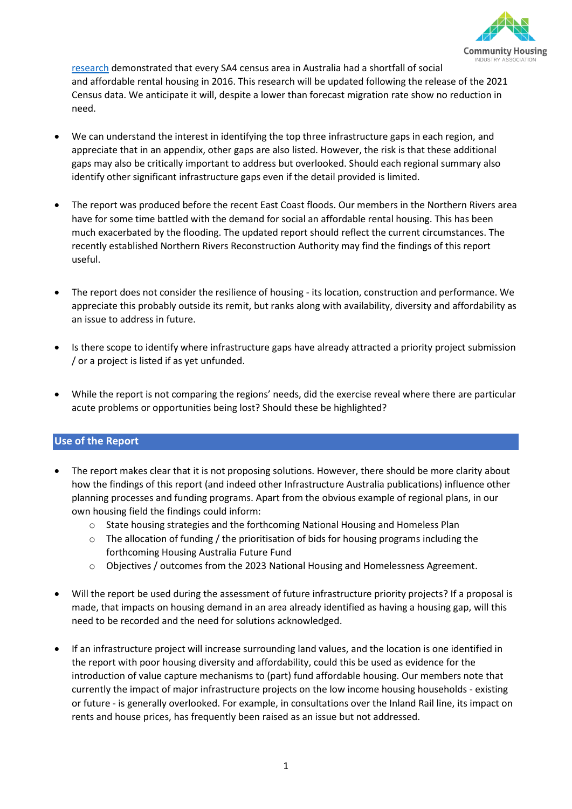

[research](https://cityfutures.ada.unsw.edu.au/research/projects/filling-the-gap/) demonstrated that every SA4 census area in Australia had a shortfall of social and affordable rental housing in 2016. This research will be updated following the release of the 2021 Census data. We anticipate it will, despite a lower than forecast migration rate show no reduction in need.

- We can understand the interest in identifying the top three infrastructure gaps in each region, and appreciate that in an appendix, other gaps are also listed. However, the risk is that these additional gaps may also be critically important to address but overlooked. Should each regional summary also identify other significant infrastructure gaps even if the detail provided is limited.
- The report was produced before the recent East Coast floods. Our members in the Northern Rivers area have for some time battled with the demand for social an affordable rental housing. This has been much exacerbated by the flooding. The updated report should reflect the current circumstances. The recently established Northern Rivers Reconstruction Authority may find the findings of this report useful.
- The report does not consider the resilience of housing its location, construction and performance. We appreciate this probably outside its remit, but ranks along with availability, diversity and affordability as an issue to address in future.
- Is there scope to identify where infrastructure gaps have already attracted a priority project submission / or a project is listed if as yet unfunded.
- While the report is not comparing the regions' needs, did the exercise reveal where there are particular acute problems or opportunities being lost? Should these be highlighted?

### **Use of the Report**

- The report makes clear that it is not proposing solutions. However, there should be more clarity about how the findings of this report (and indeed other Infrastructure Australia publications) influence other planning processes and funding programs. Apart from the obvious example of regional plans, in our own housing field the findings could inform:
	- $\circ$  State housing strategies and the forthcoming National Housing and Homeless Plan
	- $\circ$  The allocation of funding / the prioritisation of bids for housing programs including the forthcoming Housing Australia Future Fund
	- $\circ$  Objectives / outcomes from the 2023 National Housing and Homelessness Agreement.
- Will the report be used during the assessment of future infrastructure priority projects? If a proposal is made, that impacts on housing demand in an area already identified as having a housing gap, will this need to be recorded and the need for solutions acknowledged.
- If an infrastructure project will increase surrounding land values, and the location is one identified in the report with poor housing diversity and affordability, could this be used as evidence for the introduction of value capture mechanisms to (part) fund affordable housing. Our members note that currently the impact of major infrastructure projects on the low income housing households - existing or future - is generally overlooked. For example, in consultations over the Inland Rail line, its impact on rents and house prices, has frequently been raised as an issue but not addressed.